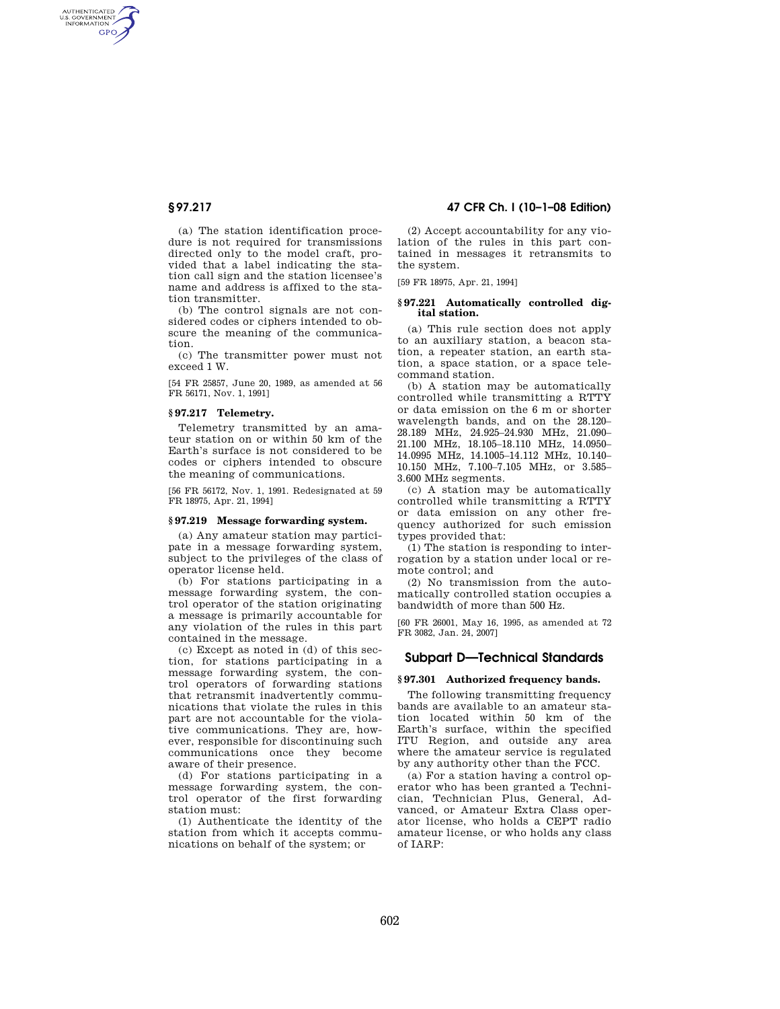AUTHENTICATED<br>U.S. GOVERNMENT<br>INFORMATION GPO

> (a) The station identification procedure is not required for transmissions directed only to the model craft, provided that a label indicating the station call sign and the station licensee's name and address is affixed to the station transmitter.

> (b) The control signals are not considered codes or ciphers intended to obscure the meaning of the communication.

> (c) The transmitter power must not exceed 1 W.

> [54 FR 25857, June 20, 1989, as amended at 56 FR 56171, Nov. 1, 1991]

### **§ 97.217 Telemetry.**

Telemetry transmitted by an amateur station on or within 50 km of the Earth's surface is not considered to be codes or ciphers intended to obscure the meaning of communications.

[56 FR 56172, Nov. 1, 1991. Redesignated at 59 FR 18975, Apr. 21, 1994]

### **§ 97.219 Message forwarding system.**

(a) Any amateur station may participate in a message forwarding system, subject to the privileges of the class of operator license held.

(b) For stations participating in a message forwarding system, the control operator of the station originating a message is primarily accountable for any violation of the rules in this part contained in the message.

(c) Except as noted in (d) of this section, for stations participating in a message forwarding system, the control operators of forwarding stations that retransmit inadvertently communications that violate the rules in this part are not accountable for the violative communications. They are, however, responsible for discontinuing such communications once they become aware of their presence.

(d) For stations participating in a message forwarding system, the control operator of the first forwarding station must:

(1) Authenticate the identity of the station from which it accepts communications on behalf of the system; or

## **§ 97.217 47 CFR Ch. I (10–1–08 Edition)**

(2) Accept accountability for any violation of the rules in this part contained in messages it retransmits to the system.

[59 FR 18975, Apr. 21, 1994]

### **§ 97.221 Automatically controlled digital station.**

(a) This rule section does not apply to an auxiliary station, a beacon station, a repeater station, an earth station, a space station, or a space telecommand station.

(b) A station may be automatically controlled while transmitting a RTTY or data emission on the 6 m or shorter wavelength bands, and on the 28.120– 28.189 MHz, 24.925–24.930 MHz, 21.090– 21.100 MHz, 18.105–18.110 MHz, 14.0950– 14.0995 MHz, 14.1005–14.112 MHz, 10.140– 10.150 MHz, 7.100–7.105 MHz, or 3.585– 3.600 MHz segments.

(c) A station may be automatically controlled while transmitting a RTTY or data emission on any other frequency authorized for such emission types provided that:

(1) The station is responding to interrogation by a station under local or remote control; and

(2) No transmission from the automatically controlled station occupies a bandwidth of more than 500 Hz.

[60 FR 26001, May 16, 1995, as amended at 72 FR 3082, Jan. 24, 2007]

## **Subpart D—Technical Standards**

### **§ 97.301 Authorized frequency bands.**

The following transmitting frequency bands are available to an amateur station located within 50 km of the Earth's surface, within the specified ITU Region, and outside any area where the amateur service is regulated by any authority other than the FCC.

(a) For a station having a control operator who has been granted a Technician, Technician Plus, General, Advanced, or Amateur Extra Class operator license, who holds a CEPT radio amateur license, or who holds any class of IARP: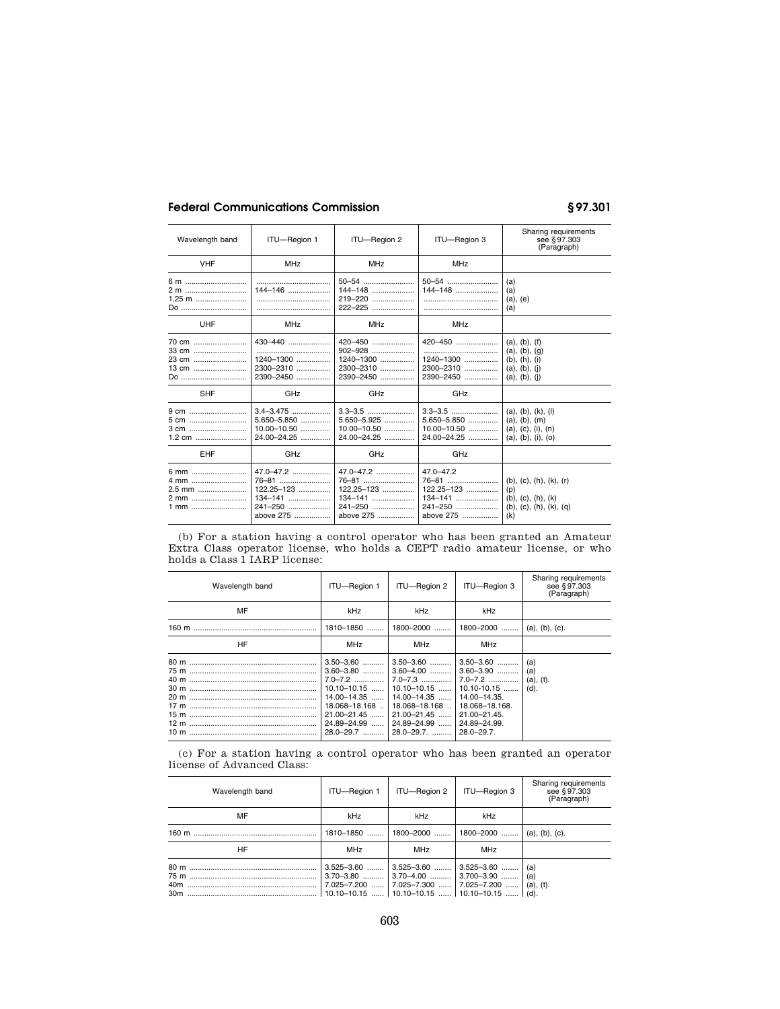# **Federal Communications Commission § 97.301**

| Wavelength band                          | ITU-Region 1                                                            | ITU-Region 2                                                            | ITU-Region 3                                                            | Sharing requirements<br>see §97.303<br>(Paragraph)                                                                            |
|------------------------------------------|-------------------------------------------------------------------------|-------------------------------------------------------------------------|-------------------------------------------------------------------------|-------------------------------------------------------------------------------------------------------------------------------|
| <b>VHF</b>                               | <b>MHz</b>                                                              | <b>MHz</b>                                                              | <b>MHz</b>                                                              |                                                                                                                               |
| 6 m<br>2 m<br>$1.25$ m<br>Do             | 144-146                                                                 | 144-148<br>$222 - 225$                                                  | 144-148<br>                                                             | (a)<br>(a)<br>$(a)$ , $(e)$<br>(a)                                                                                            |
| UHF                                      | <b>MHz</b>                                                              | <b>MHz</b>                                                              | <b>MHz</b>                                                              |                                                                                                                               |
| 70 cm<br>33 cm<br>23 cm<br>Do            | 430-440<br>$1240 - 1300$<br>2300-2310<br>2390-2450                      | $1240 - 1300$<br>2300-2310<br>2390-2450                                 | 420-450<br><br>1240-1300<br>2300-2310<br>2390-2450                      | (a), (b), (f)<br>(a), (b), (g)<br>(b), (h), (i)<br>(a), (b), (i)<br>(a), (b), (i)                                             |
| <b>SHF</b>                               | GHz                                                                     | GHz                                                                     | GHz                                                                     |                                                                                                                               |
| 9 cm<br>5 cm<br>3 cm                     | 5.650-5.850<br>$10.00 - 10.50$<br>$24.00 - 24.25$                       | 5.650-5.925<br>$10.00 - 10.50$<br>$24.00 - 24.25$                       | 5.650-5.850<br>$10.00 - 10.50$<br>24.00-24.25                           | (a), (b), (k), (l)<br>(a), (b), (m)<br>(a), (c), (i), (n)<br>(a), (b), (i), (o)                                               |
| <b>EHF</b>                               | GHz                                                                     | GHz                                                                     | GHz                                                                     |                                                                                                                               |
| 6 mm<br>4 mm<br>2.5 mm<br>2 mm<br>$1$ mm | 47.0-47.2<br>76-81<br>122.25-123<br>$134 - 141$<br>241-250<br>above 275 | 47.0-47.2<br>76-81<br>122.25-123<br>$134 - 141$<br>241-250<br>above 275 | $47.0 - 47.2$<br>76-81<br>122.25-123<br>134-141<br>241-250<br>above 275 | $(b)$ , $(c)$ , $(h)$ , $(k)$ , $(r)$<br>(p)<br>$(b)$ , $(c)$ , $(h)$ , $(k)$<br>$(b)$ , $(c)$ , $(h)$ , $(k)$ , $(q)$<br>(k) |

(b) For a station having a control operator who has been granted an Amateur Extra Class operator license, who holds a CEPT radio amateur license, or who holds a Class 1 IARP license:

| Wavelength band | ITU-Region 1                                                                                                                                            | ITU-Region 2                                                                                                                                                                 | ITU-Region 3                                                                                                       | Sharing requirements<br>see §97.303<br>(Paragraph) |
|-----------------|---------------------------------------------------------------------------------------------------------------------------------------------------------|------------------------------------------------------------------------------------------------------------------------------------------------------------------------------|--------------------------------------------------------------------------------------------------------------------|----------------------------------------------------|
| MF              | kHz                                                                                                                                                     | kHz                                                                                                                                                                          | kHz                                                                                                                |                                                    |
| 160 m           | 1810-1850                                                                                                                                               | 1800-2000                                                                                                                                                                    | $1800 - 2000$                                                                                                      | (a), (b), (c).                                     |
| HF              | <b>MHz</b>                                                                                                                                              | <b>MHz</b>                                                                                                                                                                   | <b>MHz</b>                                                                                                         |                                                    |
|                 | $3.50 - 3.60$<br>$3.60 - 3.80$<br>$7.0 - 7.2$<br>$10.10 - 10.15$<br>$14.00 - 14.35$<br>18.068-18.168<br>$21.00 - 21.45$<br>24.89-24.99<br>$28.0 - 29.7$ | $3.50 - 3.60$<br>$3.60 - 4.00$<br>7.0–7.3<br>$10.10 - 10.15$   10.10-10.15<br>$14.00 - 14.35$<br>18.068-18.168<br>$21.00 - 21.45$<br>24.89-24.99  24.89-24.99.<br>28.0-29.7. | $3.50 - 3.60$<br>$3.60 - 3.90$<br>$7.0 - 7.2$<br>14.00-14.35.<br>18.068-18.168.<br>21.00-21.45.<br>$28.0 - 29.7$ . | (a)<br>(a)<br>(a), (t).<br>$(d)$ .                 |

(c) For a station having a control operator who has been granted an operator license of Advanced Class:

| Wavelength band | ITU-Region 1                                       | ITU-Region 2                                                                                                    | ITU-Region 3                     | Sharing requirements<br>see §97.303<br>(Paragraph) |
|-----------------|----------------------------------------------------|-----------------------------------------------------------------------------------------------------------------|----------------------------------|----------------------------------------------------|
| MF              | kHz                                                | kHz                                                                                                             | kHz                              |                                                    |
|                 | 1810-1850                                          | $1800 - 2000$                                                                                                   | 1800-2000                        | (a), (b), (c).                                     |
| HF              | MHz                                                | MHz                                                                                                             | MHz                              |                                                    |
|                 | $3.525 - 3.60$<br>$3.70 - 3.80$<br>$7.025 - 7.200$ | $3.525 - 3.60$<br>$3.70 - 4.00$<br>7.025-7.300  7.025-7.200<br>$10.10 - 10.15$   10.10 - 10.15    10.10 - 10.15 | $3.525 - 3.60$<br>$3.700 - 3.90$ | (a)<br>(a)<br>(a), (t).<br>$\mid$ (d).             |